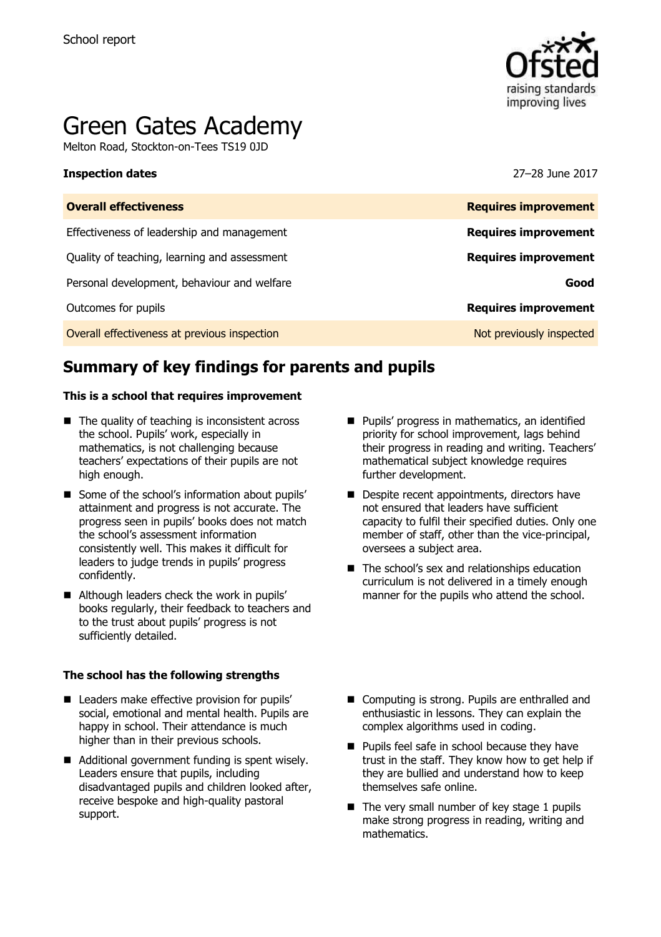

# Green Gates Academy

Melton Road, Stockton-on-Tees TS19 0JD

#### **Inspection dates** 27–28 June 2017

| <b>Overall effectiveness</b>                 | <b>Requires improvement</b> |
|----------------------------------------------|-----------------------------|
| Effectiveness of leadership and management   | <b>Requires improvement</b> |
| Quality of teaching, learning and assessment | <b>Requires improvement</b> |
| Personal development, behaviour and welfare  | Good                        |
| Outcomes for pupils                          | <b>Requires improvement</b> |
| Overall effectiveness at previous inspection | Not previously inspected    |

# **Summary of key findings for parents and pupils**

#### **This is a school that requires improvement**

- $\blacksquare$  The quality of teaching is inconsistent across the school. Pupils' work, especially in mathematics, is not challenging because teachers' expectations of their pupils are not high enough.
- Some of the school's information about pupils' attainment and progress is not accurate. The progress seen in pupils' books does not match the school's assessment information consistently well. This makes it difficult for leaders to judge trends in pupils' progress confidently.
- Although leaders check the work in pupils' books regularly, their feedback to teachers and to the trust about pupils' progress is not sufficiently detailed.

#### **The school has the following strengths**

- Leaders make effective provision for pupils' social, emotional and mental health. Pupils are happy in school. Their attendance is much higher than in their previous schools.
- Additional government funding is spent wisely. Leaders ensure that pupils, including disadvantaged pupils and children looked after, receive bespoke and high-quality pastoral support.
- **Pupils' progress in mathematics, an identified** priority for school improvement, lags behind their progress in reading and writing. Teachers' mathematical subject knowledge requires further development.
- Despite recent appointments, directors have not ensured that leaders have sufficient capacity to fulfil their specified duties. Only one member of staff, other than the vice-principal, oversees a subject area.
- The school's sex and relationships education curriculum is not delivered in a timely enough manner for the pupils who attend the school.
- Computing is strong. Pupils are enthralled and enthusiastic in lessons. They can explain the complex algorithms used in coding.
- **Pupils feel safe in school because they have** trust in the staff. They know how to get help if they are bullied and understand how to keep themselves safe online.
- $\blacksquare$  The very small number of key stage 1 pupils make strong progress in reading, writing and mathematics.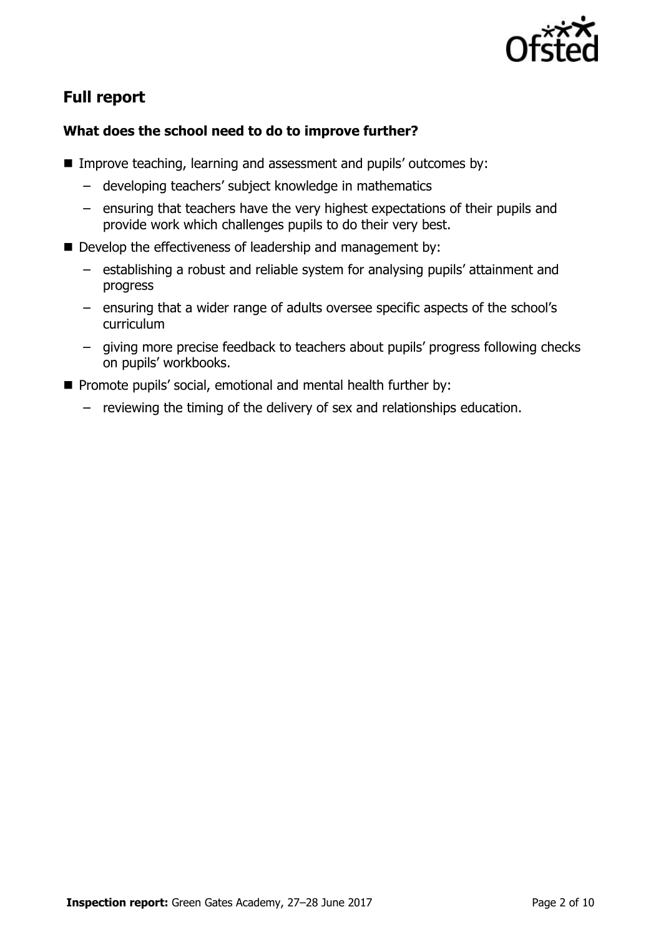

# **Full report**

### **What does the school need to do to improve further?**

- Improve teaching, learning and assessment and pupils' outcomes by:
	- developing teachers' subject knowledge in mathematics
	- ensuring that teachers have the very highest expectations of their pupils and provide work which challenges pupils to do their very best.
- Develop the effectiveness of leadership and management by:
	- establishing a robust and reliable system for analysing pupils' attainment and progress
	- ensuring that a wider range of adults oversee specific aspects of the school's curriculum
	- giving more precise feedback to teachers about pupils' progress following checks on pupils' workbooks.
- **Promote pupils' social, emotional and mental health further by:** 
	- reviewing the timing of the delivery of sex and relationships education.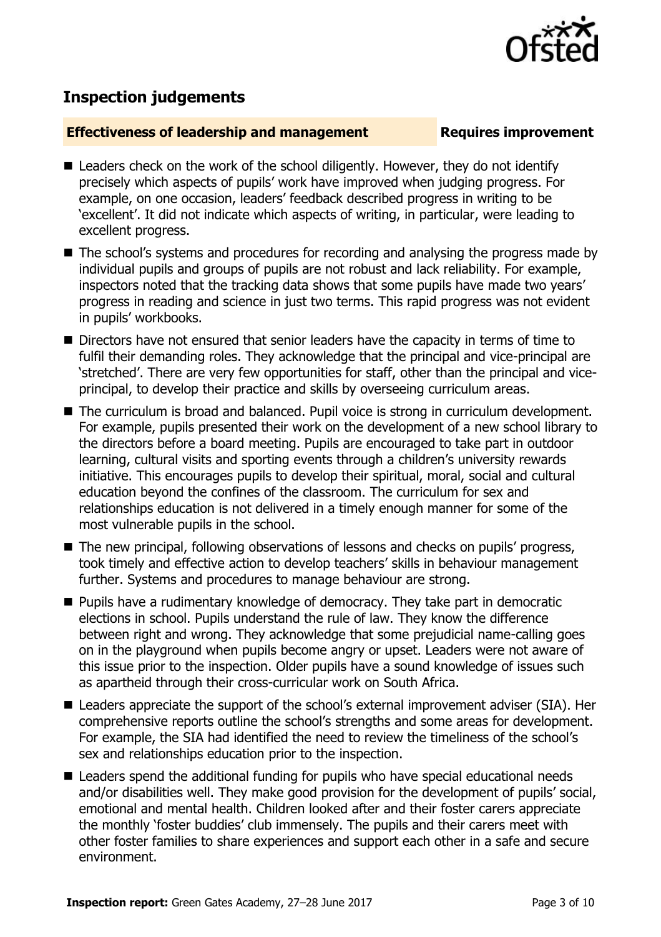

## **Inspection judgements**

#### **Effectiveness of leadership and management Requires improvement**

- Leaders check on the work of the school diligently. However, they do not identify precisely which aspects of pupils' work have improved when judging progress. For example, on one occasion, leaders' feedback described progress in writing to be 'excellent'. It did not indicate which aspects of writing, in particular, were leading to excellent progress.
- The school's systems and procedures for recording and analysing the progress made by individual pupils and groups of pupils are not robust and lack reliability. For example, inspectors noted that the tracking data shows that some pupils have made two years' progress in reading and science in just two terms. This rapid progress was not evident in pupils' workbooks.
- Directors have not ensured that senior leaders have the capacity in terms of time to fulfil their demanding roles. They acknowledge that the principal and vice-principal are 'stretched'. There are very few opportunities for staff, other than the principal and viceprincipal, to develop their practice and skills by overseeing curriculum areas.
- The curriculum is broad and balanced. Pupil voice is strong in curriculum development. For example, pupils presented their work on the development of a new school library to the directors before a board meeting. Pupils are encouraged to take part in outdoor learning, cultural visits and sporting events through a children's university rewards initiative. This encourages pupils to develop their spiritual, moral, social and cultural education beyond the confines of the classroom. The curriculum for sex and relationships education is not delivered in a timely enough manner for some of the most vulnerable pupils in the school.
- The new principal, following observations of lessons and checks on pupils' progress, took timely and effective action to develop teachers' skills in behaviour management further. Systems and procedures to manage behaviour are strong.
- **Pupils have a rudimentary knowledge of democracy. They take part in democratic** elections in school. Pupils understand the rule of law. They know the difference between right and wrong. They acknowledge that some prejudicial name-calling goes on in the playground when pupils become angry or upset. Leaders were not aware of this issue prior to the inspection. Older pupils have a sound knowledge of issues such as apartheid through their cross-curricular work on South Africa.
- Leaders appreciate the support of the school's external improvement adviser (SIA). Her comprehensive reports outline the school's strengths and some areas for development. For example, the SIA had identified the need to review the timeliness of the school's sex and relationships education prior to the inspection.
- Leaders spend the additional funding for pupils who have special educational needs and/or disabilities well. They make good provision for the development of pupils' social, emotional and mental health. Children looked after and their foster carers appreciate the monthly 'foster buddies' club immensely. The pupils and their carers meet with other foster families to share experiences and support each other in a safe and secure environment.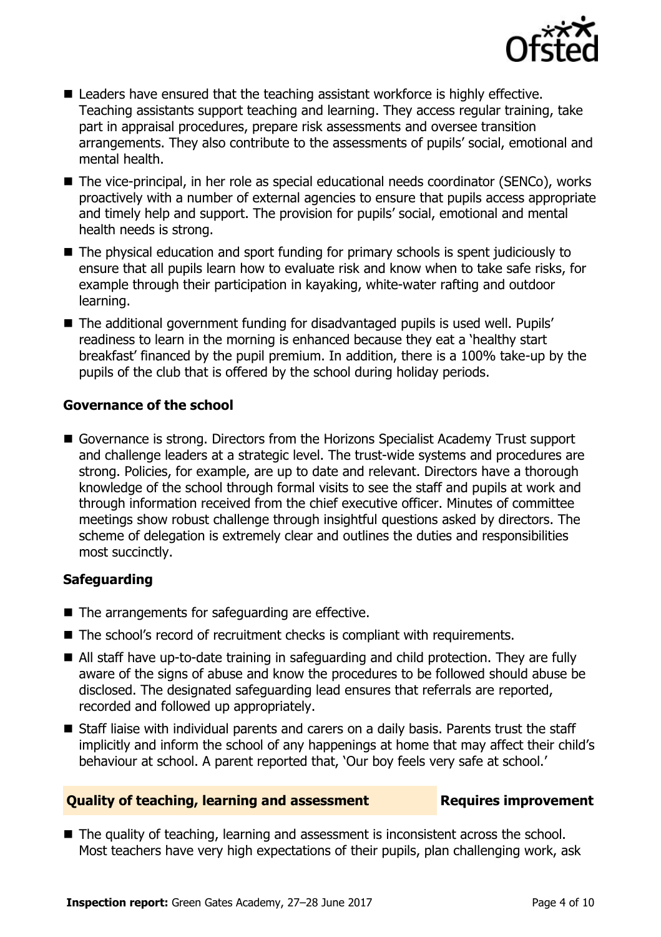

- Leaders have ensured that the teaching assistant workforce is highly effective. Teaching assistants support teaching and learning. They access regular training, take part in appraisal procedures, prepare risk assessments and oversee transition arrangements. They also contribute to the assessments of pupils' social, emotional and mental health.
- The vice-principal, in her role as special educational needs coordinator (SENCo), works proactively with a number of external agencies to ensure that pupils access appropriate and timely help and support. The provision for pupils' social, emotional and mental health needs is strong.
- The physical education and sport funding for primary schools is spent judiciously to ensure that all pupils learn how to evaluate risk and know when to take safe risks, for example through their participation in kayaking, white-water rafting and outdoor learning.
- The additional government funding for disadvantaged pupils is used well. Pupils' readiness to learn in the morning is enhanced because they eat a 'healthy start breakfast' financed by the pupil premium. In addition, there is a 100% take-up by the pupils of the club that is offered by the school during holiday periods.

### **Governance of the school**

Governance is strong. Directors from the Horizons Specialist Academy Trust support and challenge leaders at a strategic level. The trust-wide systems and procedures are strong. Policies, for example, are up to date and relevant. Directors have a thorough knowledge of the school through formal visits to see the staff and pupils at work and through information received from the chief executive officer. Minutes of committee meetings show robust challenge through insightful questions asked by directors. The scheme of delegation is extremely clear and outlines the duties and responsibilities most succinctly.

### **Safeguarding**

- The arrangements for safeguarding are effective.
- The school's record of recruitment checks is compliant with requirements.
- All staff have up-to-date training in safeguarding and child protection. They are fully aware of the signs of abuse and know the procedures to be followed should abuse be disclosed. The designated safeguarding lead ensures that referrals are reported, recorded and followed up appropriately.
- Staff liaise with individual parents and carers on a daily basis. Parents trust the staff implicitly and inform the school of any happenings at home that may affect their child's behaviour at school. A parent reported that, 'Our boy feels very safe at school.'

### **Quality of teaching, learning and assessment Requires improvement**

■ The quality of teaching, learning and assessment is inconsistent across the school. Most teachers have very high expectations of their pupils, plan challenging work, ask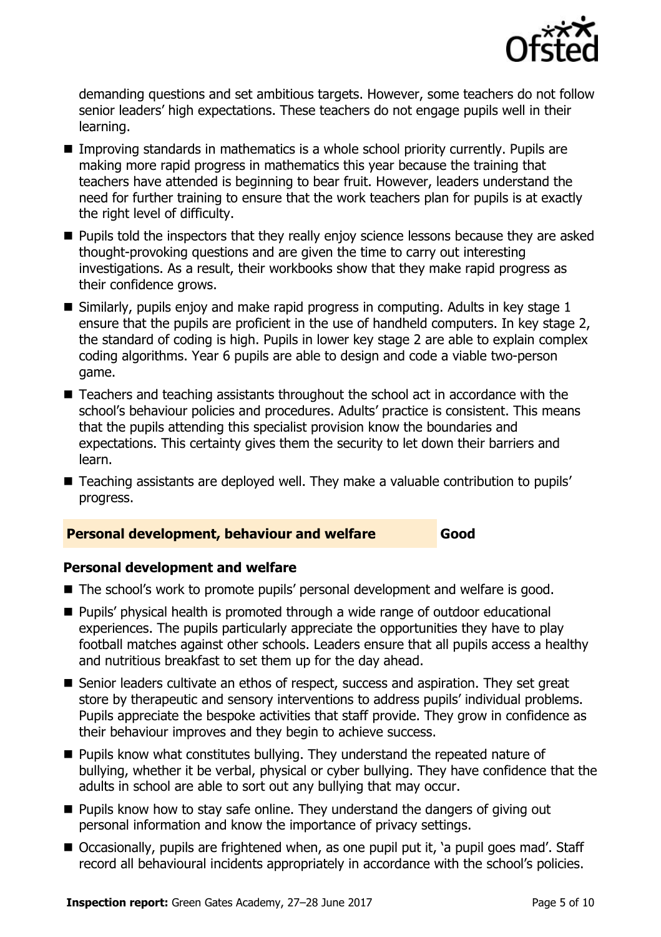

demanding questions and set ambitious targets. However, some teachers do not follow senior leaders' high expectations. These teachers do not engage pupils well in their learning.

- Improving standards in mathematics is a whole school priority currently. Pupils are making more rapid progress in mathematics this year because the training that teachers have attended is beginning to bear fruit. However, leaders understand the need for further training to ensure that the work teachers plan for pupils is at exactly the right level of difficulty.
- **Pupils told the inspectors that they really enjoy science lessons because they are asked** thought-provoking questions and are given the time to carry out interesting investigations. As a result, their workbooks show that they make rapid progress as their confidence grows.
- $\blacksquare$  Similarly, pupils enjoy and make rapid progress in computing. Adults in key stage 1 ensure that the pupils are proficient in the use of handheld computers. In key stage 2, the standard of coding is high. Pupils in lower key stage 2 are able to explain complex coding algorithms. Year 6 pupils are able to design and code a viable two-person game.
- Teachers and teaching assistants throughout the school act in accordance with the school's behaviour policies and procedures. Adults' practice is consistent. This means that the pupils attending this specialist provision know the boundaries and expectations. This certainty gives them the security to let down their barriers and learn.
- Teaching assistants are deployed well. They make a valuable contribution to pupils' progress.

### **Personal development, behaviour and welfare Good**

### **Personal development and welfare**

- The school's work to promote pupils' personal development and welfare is good.
- Pupils' physical health is promoted through a wide range of outdoor educational experiences. The pupils particularly appreciate the opportunities they have to play football matches against other schools. Leaders ensure that all pupils access a healthy and nutritious breakfast to set them up for the day ahead.
- Senior leaders cultivate an ethos of respect, success and aspiration. They set great store by therapeutic and sensory interventions to address pupils' individual problems. Pupils appreciate the bespoke activities that staff provide. They grow in confidence as their behaviour improves and they begin to achieve success.
- **Pupils know what constitutes bullying. They understand the repeated nature of** bullying, whether it be verbal, physical or cyber bullying. They have confidence that the adults in school are able to sort out any bullying that may occur.
- $\blacksquare$  Pupils know how to stay safe online. They understand the dangers of giving out personal information and know the importance of privacy settings.
- Occasionally, pupils are frightened when, as one pupil put it, 'a pupil goes mad'. Staff record all behavioural incidents appropriately in accordance with the school's policies.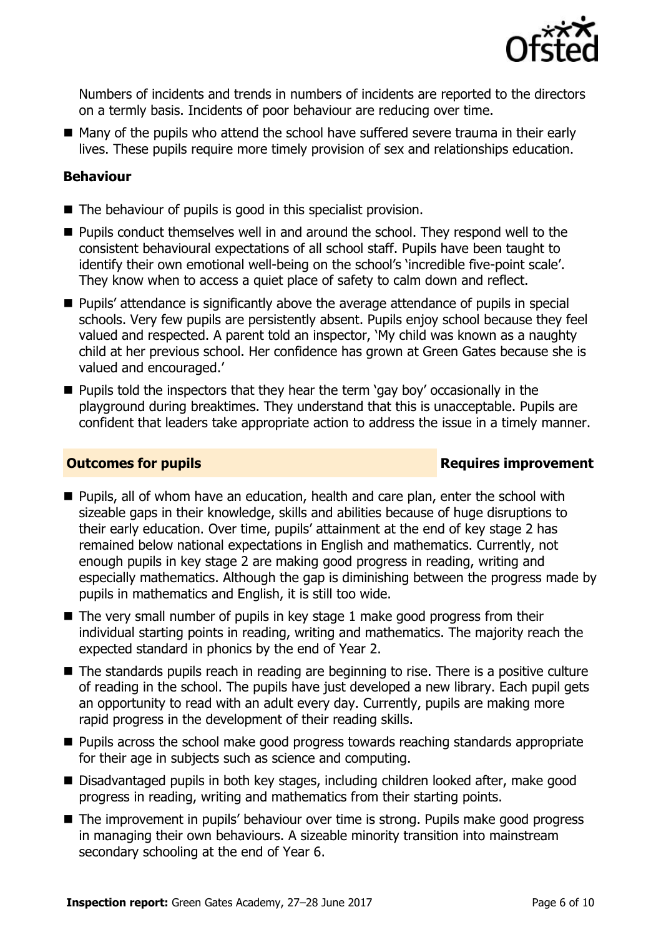

Numbers of incidents and trends in numbers of incidents are reported to the directors on a termly basis. Incidents of poor behaviour are reducing over time.

■ Many of the pupils who attend the school have suffered severe trauma in their early lives. These pupils require more timely provision of sex and relationships education.

#### **Behaviour**

- The behaviour of pupils is good in this specialist provision.
- **Pupils conduct themselves well in and around the school. They respond well to the** consistent behavioural expectations of all school staff. Pupils have been taught to identify their own emotional well-being on the school's 'incredible five-point scale'. They know when to access a quiet place of safety to calm down and reflect.
- **Pupils' attendance is significantly above the average attendance of pupils in special** schools. Very few pupils are persistently absent. Pupils enjoy school because they feel valued and respected. A parent told an inspector, 'My child was known as a naughty child at her previous school. Her confidence has grown at Green Gates because she is valued and encouraged.'
- $\blacksquare$  Pupils told the inspectors that they hear the term 'gay boy' occasionally in the playground during breaktimes. They understand that this is unacceptable. Pupils are confident that leaders take appropriate action to address the issue in a timely manner.

#### **Outcomes for pupils Requires improvement**

- **Pupils, all of whom have an education, health and care plan, enter the school with** sizeable gaps in their knowledge, skills and abilities because of huge disruptions to their early education. Over time, pupils' attainment at the end of key stage 2 has remained below national expectations in English and mathematics. Currently, not enough pupils in key stage 2 are making good progress in reading, writing and especially mathematics. Although the gap is diminishing between the progress made by pupils in mathematics and English, it is still too wide.
- The very small number of pupils in key stage 1 make good progress from their individual starting points in reading, writing and mathematics. The majority reach the expected standard in phonics by the end of Year 2.
- The standards pupils reach in reading are beginning to rise. There is a positive culture of reading in the school. The pupils have just developed a new library. Each pupil gets an opportunity to read with an adult every day. Currently, pupils are making more rapid progress in the development of their reading skills.
- **Pupils across the school make good progress towards reaching standards appropriate** for their age in subjects such as science and computing.
- Disadvantaged pupils in both key stages, including children looked after, make good progress in reading, writing and mathematics from their starting points.
- The improvement in pupils' behaviour over time is strong. Pupils make good progress in managing their own behaviours. A sizeable minority transition into mainstream secondary schooling at the end of Year 6.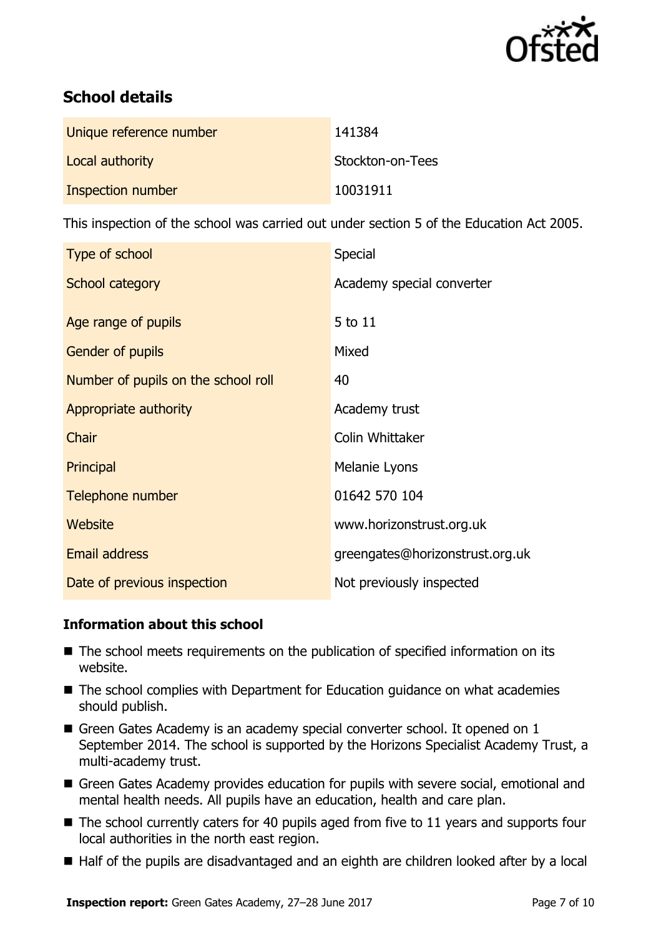

# **School details**

| Unique reference number  | 141384           |
|--------------------------|------------------|
| Local authority          | Stockton-on-Tees |
| <b>Inspection number</b> | 10031911         |

This inspection of the school was carried out under section 5 of the Education Act 2005.

| Type of school                      | Special                         |
|-------------------------------------|---------------------------------|
| School category                     | Academy special converter       |
|                                     |                                 |
| Age range of pupils                 | 5 to 11                         |
| <b>Gender of pupils</b>             | Mixed                           |
| Number of pupils on the school roll | 40                              |
| Appropriate authority               | Academy trust                   |
| Chair                               | Colin Whittaker                 |
| Principal                           | Melanie Lyons                   |
| Telephone number                    | 01642 570 104                   |
| Website                             | www.horizonstrust.org.uk        |
| <b>Email address</b>                | greengates@horizonstrust.org.uk |
| Date of previous inspection         | Not previously inspected        |

### **Information about this school**

- The school meets requirements on the publication of specified information on its website.
- The school complies with Department for Education guidance on what academies should publish.
- Green Gates Academy is an academy special converter school. It opened on 1 September 2014. The school is supported by the Horizons Specialist Academy Trust, a multi-academy trust.
- Green Gates Academy provides education for pupils with severe social, emotional and mental health needs. All pupils have an education, health and care plan.
- $\blacksquare$  The school currently caters for 40 pupils aged from five to 11 years and supports four local authorities in the north east region.
- Half of the pupils are disadvantaged and an eighth are children looked after by a local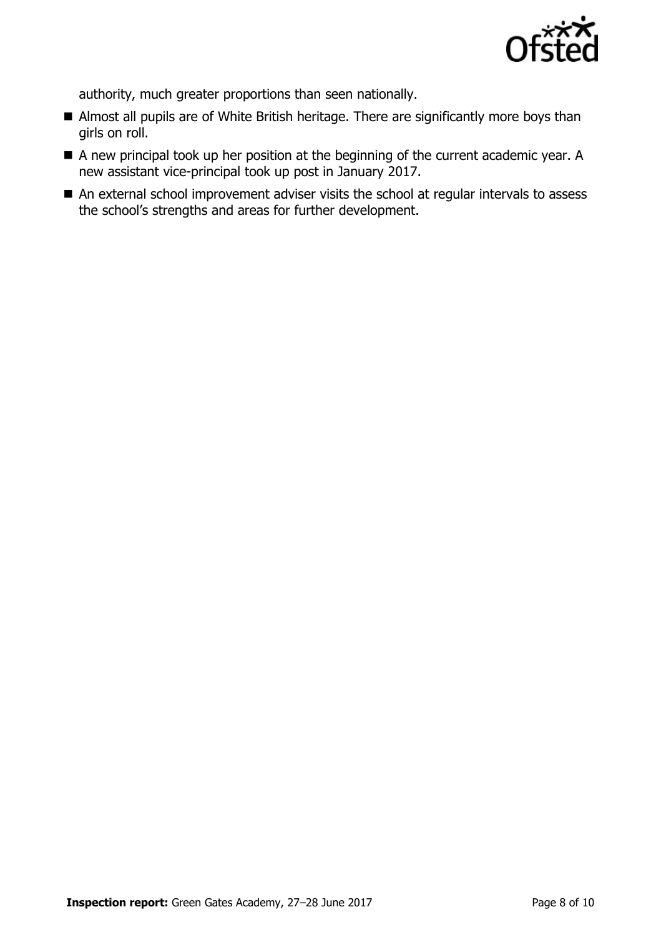

authority, much greater proportions than seen nationally.

- Almost all pupils are of White British heritage. There are significantly more boys than girls on roll.
- A new principal took up her position at the beginning of the current academic year. A new assistant vice-principal took up post in January 2017.
- An external school improvement adviser visits the school at regular intervals to assess the school's strengths and areas for further development.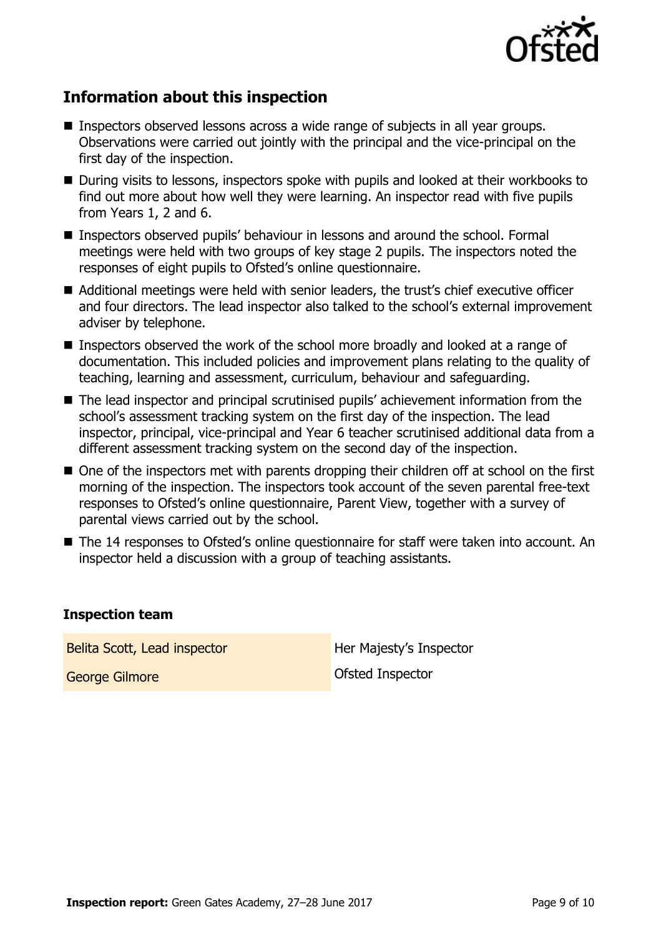

# **Information about this inspection**

- Inspectors observed lessons across a wide range of subjects in all year groups. Observations were carried out jointly with the principal and the vice-principal on the first day of the inspection.
- During visits to lessons, inspectors spoke with pupils and looked at their workbooks to find out more about how well they were learning. An inspector read with five pupils from Years 1, 2 and 6.
- Inspectors observed pupils' behaviour in lessons and around the school. Formal meetings were held with two groups of key stage 2 pupils. The inspectors noted the responses of eight pupils to Ofsted's online questionnaire.
- Additional meetings were held with senior leaders, the trust's chief executive officer and four directors. The lead inspector also talked to the school's external improvement adviser by telephone.
- Inspectors observed the work of the school more broadly and looked at a range of documentation. This included policies and improvement plans relating to the quality of teaching, learning and assessment, curriculum, behaviour and safeguarding.
- The lead inspector and principal scrutinised pupils' achievement information from the school's assessment tracking system on the first day of the inspection. The lead inspector, principal, vice-principal and Year 6 teacher scrutinised additional data from a different assessment tracking system on the second day of the inspection.
- One of the inspectors met with parents dropping their children off at school on the first morning of the inspection. The inspectors took account of the seven parental free-text responses to Ofsted's online questionnaire, Parent View, together with a survey of parental views carried out by the school.
- The 14 responses to Ofsted's online questionnaire for staff were taken into account. An inspector held a discussion with a group of teaching assistants.

#### **Inspection team**

Belita Scott, Lead inspector **Her Majesty's Inspector** 

George Gilmore **Gibrary Contracts** Ofsted Inspector